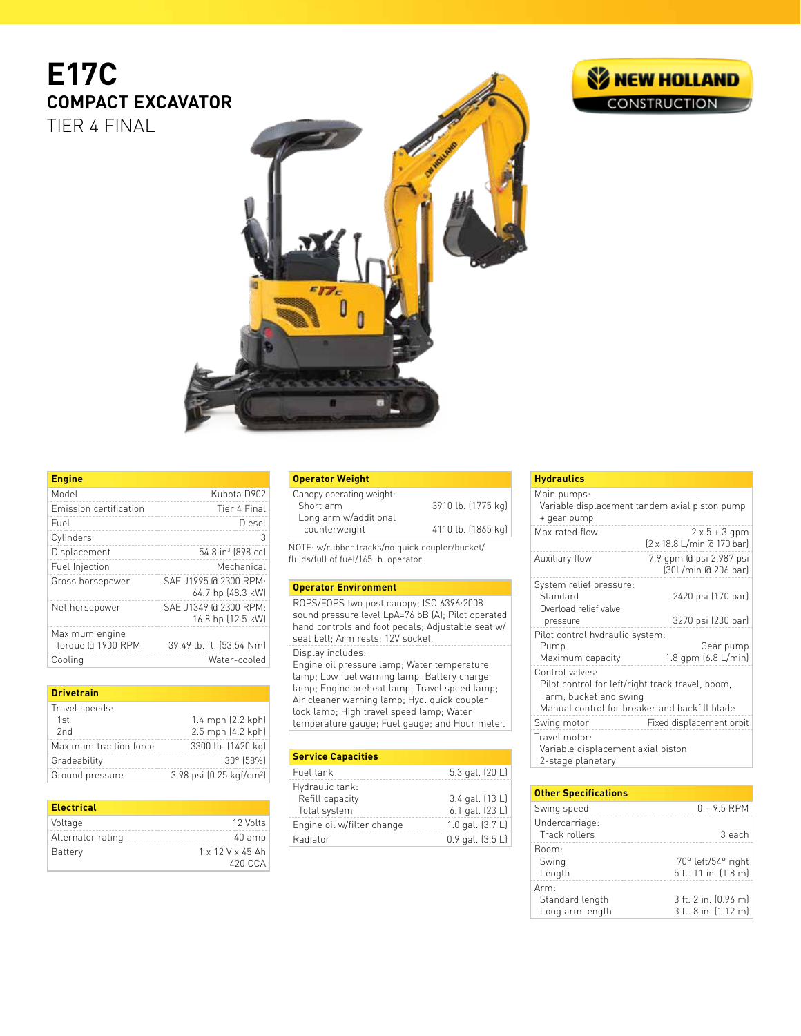# **E17C COMPACT EXCAVATOR** TIER 4 FINAL



| <b>Engine</b>                       |                                            |
|-------------------------------------|--------------------------------------------|
| Model                               | Kubota D902                                |
| Emission certification              | Tier 4 Final                               |
| Fuel                                | Diesel                                     |
| Cylinders                           | З                                          |
| Displacement                        | 54.8 in <sup>3</sup> (898 cc)              |
| Fuel Injection                      | Mechanical                                 |
| Gross horsepower                    | SAF J1995 @ 2300 RPM:<br>64.7 hp (48.3 kW) |
| Net horsepower                      | SAF J1349 @ 2300 RPM:<br>16.8 hp (12.5 kW) |
| Maximum engine<br>torque @ 1900 RPM | 39.49 lb. ft. [53.54 Nm]                   |
| Cooling                             | Water-cooled                               |

### **Drivetrain**

| Travel speeds:         |                                    |
|------------------------|------------------------------------|
| 1st                    | 1.4 mph $(2.2 \text{ kph})$        |
| 2nd                    | 2.5 mph (4.2 kph)                  |
| Maximum traction force | 3300 lb. (1420 kg)                 |
| Gradeability           | $30^{\circ}$ (58%)                 |
| Ground pressure        | 3.98 psi $(0.25 \text{ kgf/cm}^2)$ |

| <b>Electrical</b> |                                |
|-------------------|--------------------------------|
| Voltage           | 12 Volts                       |
| Alternator rating | 40 amp                         |
| <b>Battery</b>    | $1 \times 12$ V $\times$ 45 Ah |
|                   | 420 C.C.A                      |

### **Operator Weight**

| Canopy operating weight: |                    |
|--------------------------|--------------------|
| Short arm                | 3910 lb. (1775 kg) |
| Long arm w/additional    |                    |
| counterweight            | 4110 lb. (1865 kg) |
|                          |                    |

NOTE: w/rubber tracks/no quick coupler/bucket/ fluids/full of fuel/165 lb. operator.

# **Operator Environment**

ROPS/FOPS two post canopy; ISO 6396:2008 sound pressure level LpA=76 bB (A); Pilot operated hand controls and foot pedals; Adjustable seat w/ seat belt; Arm rests; 12V socket. Display includes: Engine oil pressure lamp; Water temperature lamp; Low fuel warning lamp; Battery charge lamp; Engine preheat lamp; Travel speed lamp; Air cleaner warning lamp; Hyd. quick coupler lock lamp; High travel speed lamp; Water temperature gauge; Fuel gauge; and Hour meter.

| <b>Service Capacities</b>  |                      |
|----------------------------|----------------------|
| Fuel tank                  | 5.3 gal. (20 L)      |
| Hydraulic tank:            |                      |
| Refill capacity            | 3.4 gal. (13 L)      |
| Total system               | 6.1 gal. (23 L)      |
| Engine oil w/filter change | 1.0 gal. $(3.7 L)$   |
| Radiator                   | $0.9$ gal. $(3.5 L)$ |
|                            |                      |

# **Hydraulics**

| Main pumps:<br>+ gear pump                                                                                                                    | Variable displacement tandem axial piston pump     |
|-----------------------------------------------------------------------------------------------------------------------------------------------|----------------------------------------------------|
| Max rated flow                                                                                                                                | $2 \times 5 + 3$ gpm<br>[2 x 18.8 L/min @ 170 bar] |
| Auxiliary flow                                                                                                                                | 7.9 gpm @ psi 2,987 psi<br>(30L/min @ 206 bar)     |
| System relief pressure:<br>Standard<br>Overload relief valve<br>pressure                                                                      | 2420 psi (170 bar)<br>3270 psi (230 bar)           |
| Pilot control hydraulic system:<br>Pump<br>Maximum capacity                                                                                   | Gear pump<br>1.8 gpm $(6.8 \text{ L/min})$         |
| Control valves:<br>Pilot control for left/right track travel, boom,<br>arm, bucket and swing<br>Manual control for breaker and backfill blade |                                                    |
| Swing motor                                                                                                                                   | Fixed displacement orbit                           |
| Travel motor:<br>Variable displacement axial piston<br>2-stage planetary                                                                      |                                                    |

| <b>Other Specifications</b>        |                                              |
|------------------------------------|----------------------------------------------|
| Swing speed                        | $0 - 9.5$ RPM                                |
| Undercarriage:<br>Track rollers    | 3 each                                       |
| Boom:<br>Swing<br>Length           | 70° left/54° right<br>5 ft. 11 in. (1.8 m)   |
| Arm:                               |                                              |
| Standard length<br>Long arm length | 3 ft. 2 in. (0.96 m)<br>3 ft. 8 in. (1.12 m) |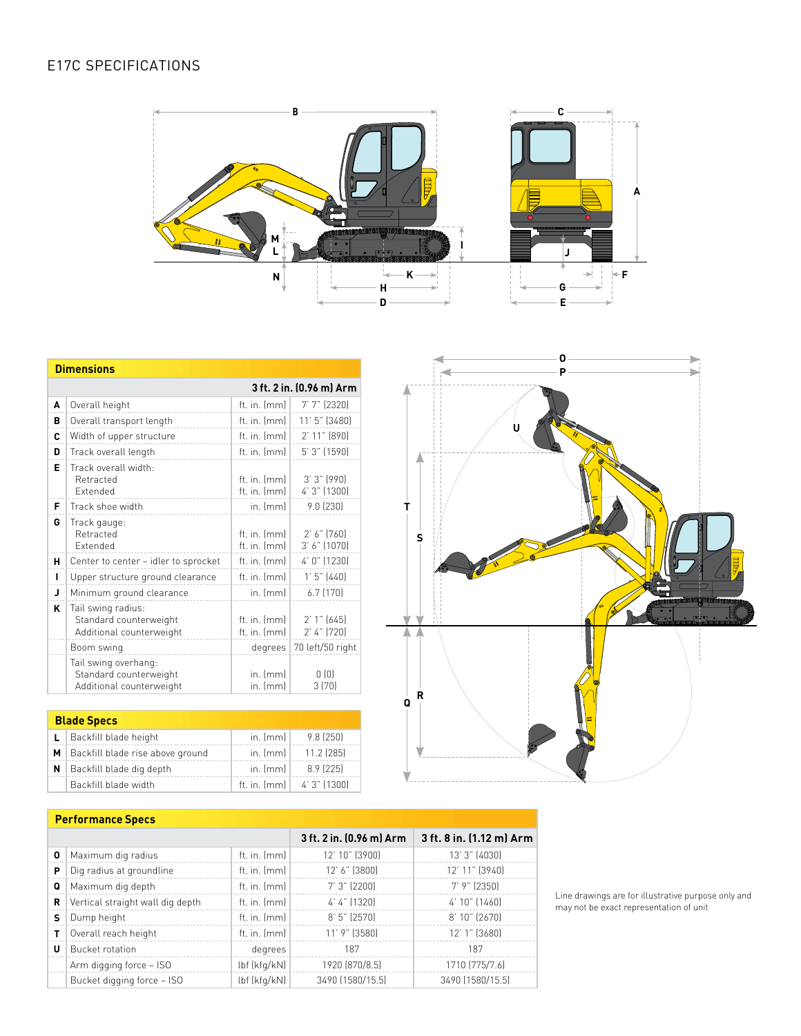

|              | <b>Dimensions</b>                                                          |                                |                                  |
|--------------|----------------------------------------------------------------------------|--------------------------------|----------------------------------|
|              |                                                                            |                                | 3 ft. 2 in. (0.96 m) Arm         |
| A            | Overall height                                                             | ft. in. $[mm]$                 | $7'7'$ (2320)                    |
| в            | Overall transport length                                                   | ft. in. $[mm]$                 | 11' 5" (3480)                    |
| C            | Width of upper structure                                                   | ft. in. $[mm]$                 | $2'$ 11" $[890]$                 |
| D            | Track overall length                                                       | ft. in. (mm)                   | 5' 3" (1590)                     |
| Е            | Track overall width:<br>Retracted<br><b>Fxtended</b>                       | ft. in. Imml<br>ft. in. $[mm]$ | $3'3''$ (990)<br>4' 3" (1300)    |
| F            | Track shoe width                                                           | $in.$ [mm]                     | 9.0(230)                         |
| G            | Track gauge:<br>Retracted<br><b>Fxtended</b>                               | ft. in. (mm)<br>ft. in. (mm)   | $2'$ 6" $[760]$<br>3' 6' (1070)  |
| н            | Center to center - idler to sprocket                                       | ft. in. $[mm]$                 | $4' 0''$ (1230)                  |
| п            | Upper structure ground clearance                                           | ft. in. (mm)                   | $1'5'$ (440)                     |
| $\mathbf{J}$ | Minimum ground clearance                                                   | $in.$ [mm]                     | $6.7$ $(170)$                    |
| ĸ            | Tail swing radius:<br>Standard counterweight<br>Additional counterweight   | ft. in. (mm)<br>ft. in. (mm)   | $2'1''$ [645]<br>$2'$ 4" $[720]$ |
|              | Boom swing                                                                 | degrees                        | 70 left/50 right                 |
|              | Tail swing overhang:<br>Standard counterweight<br>Additional counterweight | $in.$ [mm]<br>in. (mm)         | 0(0)<br>3(70)                    |

| <b>Blade Specs</b>                   |                  |                               |
|--------------------------------------|------------------|-------------------------------|
| $L$   Backfill blade height          | in. ${\rm [mm]}$ | 9.8 (250)                     |
| M   Backfill blade rise above ground | in. ${\rm [mm]}$ | $11.2$ (285)                  |
| $N$   Backfill blade dig depth       | in. ${\rm [mm]}$ | $8.9$ (225)                   |
| Backfill blade width                 |                  | ft. in. $[mm]$   4' 3" (1300) |

**R**



# **Performance Specs**

|   |                                  |                | 3 ft. 2 in. (0.96 m) Arm | 3 ft. 8 in. (1.12 m) Arm |
|---|----------------------------------|----------------|--------------------------|--------------------------|
| 0 | Maximum dig radius               | ft. in. $[mm]$ | 12' 10" (3900)           | 13' 3" (4030)            |
| Р | Dig radius at groundline         | ft. in. $[mm]$ | 12' 6" (3800)            | 12' 11" (3940)           |
| Q | Maximum dig depth                | ft. in. [mm]   | $7'3'$ (2200)            | $7'$ 9" (2350)           |
| R | Vertical straight wall dig depth | ft. in. $[mm]$ | 4' 4" (1320)             | 4' 10" (1460)            |
| s | Dump height                      | ft. in. (mm)   | $8'5'$ (2570)            | 8' 10" (2670)            |
|   | Overall reach height             | ft. in. (mm)   | 11' 9" (3580)            | 12' 1" (3680)            |
| U | <b>Bucket rotation</b>           | degrees        | 187                      | 187                      |
|   | Arm digging force - ISO          | lbf (kfg/kN)   | 1920 (870/8.5)           | 1710 (775/7.6)           |
|   | Bucket digging force - ISO       | lbf (kfg/kN)   | 3490 (1580/15.5)         | 3490 (1580/15.5)         |

Line drawings are for illustrative purpose only and may not be exact representation of unit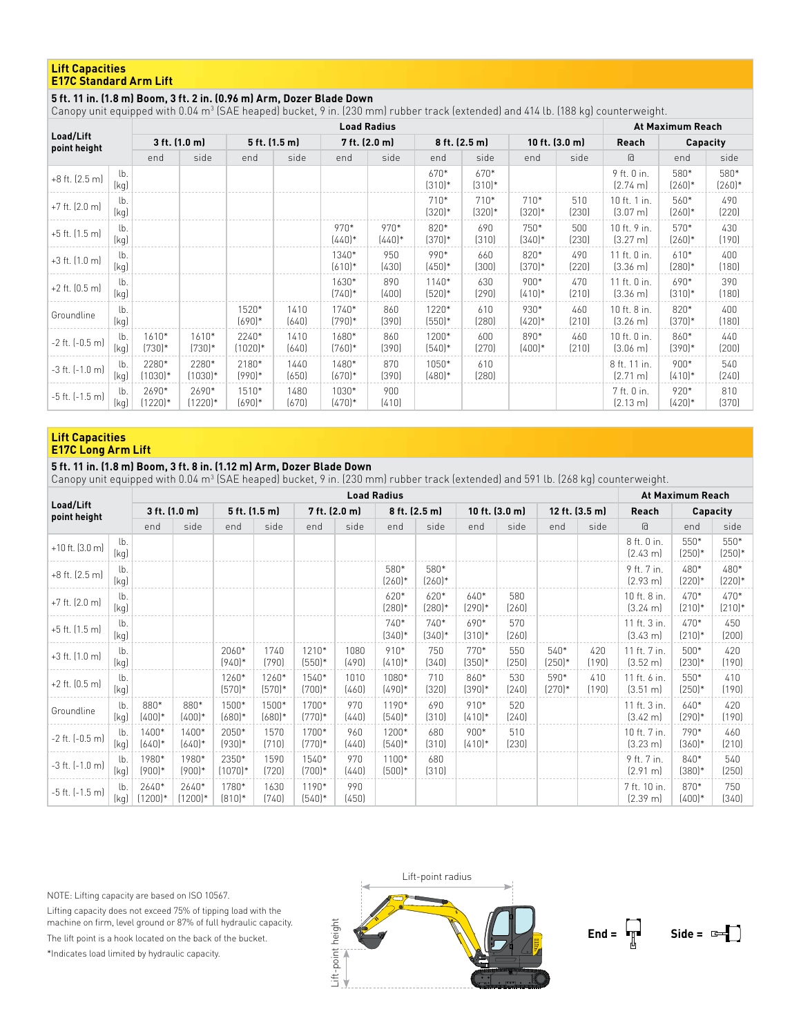### **Lift Capacities E17C Standard Arm Lift**

# **5 ft. 11 in. (1.8 m) Boom, 3 ft. 2 in. (0.96 m) Arm, Dozer Blade Down**

Canopy unit equipped with 0.04 m<sup>3</sup> (SAE heaped) bucket, 9 in. (230 mm) rubber track (extended) and 414 lb. (188 kg) counterweight.

|                            |             |                    |                    | At Maximum Reach   |               |                   |                  |                     |                    |                    |              |                                    |                    |                  |
|----------------------------|-------------|--------------------|--------------------|--------------------|---------------|-------------------|------------------|---------------------|--------------------|--------------------|--------------|------------------------------------|--------------------|------------------|
| Load/Lift<br>point height  |             | 3 ft. (1.0 m)      |                    | 5 ft. (1.5 m)      |               | 7 ft. (2.0 m)     |                  | 8 ft. (2.5 m)       |                    | 10 ft. $(3.0 m)$   |              | Reach                              | Capacity           |                  |
|                            |             | end                | side               | end                | side          | end               | side             | end                 | side               | end                | side         | a                                  | end                | side             |
| +8 ft. (2.5 m)             | lb.<br>[kq] |                    |                    |                    |               |                   |                  | 670*<br>$(310)*$    | 670*<br>$(310)*$   |                    |              | 9 ft. 0 in.<br>$[2.74 \text{ m}]$  | 580*<br>$(260)*$   | 580*<br>$(260)*$ |
| $+7$ ft. $(2.0 \text{ m})$ | lb.<br>[kq] |                    |                    |                    |               |                   |                  | $710*$<br>$(320)*$  | $710*$<br>$(320)*$ | $710*$<br>$(320)*$ | 510<br>(230) | 10 ft. 1 in.<br>$[3.07 \text{ m}]$ | 560*<br>$(260)*$   | 490<br>(220)     |
| +5 ft. (1.5 m)             | lb.<br>[kq] |                    |                    |                    |               | 970*<br>$(440)*$  | 970*<br>$(440)*$ | 820*<br>$(370)*$    | 690<br>(310)       | $750*$<br>$(340)*$ | 500<br>(230) | 10 ft. 9 in.<br>$[3.27 \text{ m}]$ | 570*<br>$(260)*$   | 430<br>(190)     |
| +3 ft. (1.0 m)             | lb.<br>[kq] |                    |                    |                    |               | 1340*<br>$(610)*$ | 950<br>(430)     | 990*<br>$(450)*$    | 660<br>(300)       | 820*<br>$(370)*$   | 490<br>(220) | 11 ft. 0 in.<br>$[3.36 \; m]$      | $610*$<br>$(280)*$ | 400<br>(180)     |
| $+2$ ft. $(0.5 \text{ m})$ | lb.<br>[kq] |                    |                    |                    |               | 1630*<br>$(740)*$ | 890<br>(400)     | $1140*$<br>$(520)*$ | 630<br>(290)       | $900*$<br>$(410)*$ | 470<br>(210) | 11 ft. 0 in.<br>$[3.36 \; m]$      | 690*<br>$(310)*$   | 390<br>(180)     |
| Groundline                 | lb.<br>[kq] |                    |                    | 1520*<br>$(690)*$  | 1410<br>(640) | 1740*<br>$(790)*$ | 860<br>(390)     | 1220*<br>$(550)*$   | 610<br>(280)       | 930*<br>$(420)*$   | 460<br>(210) | 10 ft. 8 in.<br>$[3.26 \; m]$      | 820*<br>$(370)*$   | 400<br>(180)     |
| $-2$ ft. $(-0.5$ m         | lb.<br>(kq) | 1610*<br>(730)*    | 1610*<br>$(730)*$  | 2240*<br>$(1020)*$ | 1410<br>(640) | 1680*<br>$(760)*$ | 860<br>(390)     | 1200*<br>$(540)*$   | 600<br>(270)       | 890*<br>$(400)*$   | 460<br>(210) | 10 ft. 0 in.<br>$(3.06 \text{ m})$ | 860*<br>$(390)*$   | 440<br>(200)     |
| $-3$ ft. $[-1.0$ m         | lb.<br>[kq] | 2280*<br>$(1030)*$ | 2280*<br>$(1030)*$ | 2180*<br>(990)*    | 1440<br>(650) | 1480*<br>$(670)*$ | 870<br>(390)     | 1050*<br>$(480)*$   | 610<br>(280)       |                    |              | 8 ft. 11 in.<br>$[2.71 \text{ m}]$ | $900*$<br>$(410)*$ | 540<br>(240)     |
| $-5$ ft. $[-1.5$ m         | lb.<br>(kg) | 2690*<br>$(1220)*$ | 2690*<br>$(1220)*$ | 1510*<br>$(690)*$  | 1480<br>(670) | 1030*<br>$(470)*$ | 900<br>(410)     |                     |                    |                    |              | 7 ft. 0 in.<br>$[2.13 \text{ m}]$  | 920*<br>$(420)*$   | 810<br>(370)     |

### **Lift Capacities E17C Long Arm Lift**

# **5 ft. 11 in. (1.8 m) Boom, 3 ft. 8 in. (1.12 m) Arm, Dozer Blade Down**

Canopy unit equipped with 0.04 m3 (SAE heaped) bucket, 9 in. (230 mm) rubber track (extended) and 591 lb. (268 kg) counterweight.

|                             |                        | <b>Load Radius</b> |                    |                    |                   |                   |               |                     |                    |                    |                |                  |                |                                    | At Maximum Reach   |                    |  |
|-----------------------------|------------------------|--------------------|--------------------|--------------------|-------------------|-------------------|---------------|---------------------|--------------------|--------------------|----------------|------------------|----------------|------------------------------------|--------------------|--------------------|--|
| Load/Lift                   |                        | 3 ft. (1.0 m)      |                    | 5 ft. (1.5 m)      |                   |                   | 7 ft. (2.0 m) |                     | 8 ft. (2.5 m)      |                    | 10 ft. (3.0 m) |                  | 12 ft. (3.5 m) | Reach                              | Capacity           |                    |  |
| point height                |                        | end                | side               | end                | side              | end               | side          | end                 | side               | end                | side           | end              | side           | a                                  | end                | side               |  |
| $+10$ ft. $(3.0 \text{ m})$ | lb.<br>(kg)            |                    |                    |                    |                   |                   |               |                     |                    |                    |                |                  |                | 8 ft. 0 in.<br>$[2.43 \text{ m}]$  | 550*<br>$(250)*$   | 550*<br>$(250)*$   |  |
| $+8$ ft. $(2.5 \text{ m})$  | lb.<br>(kg)            |                    |                    |                    |                   |                   |               | 580*<br>$(260)*$    | 580*<br>$(260)*$   |                    |                |                  |                | 9 ft. 7 in.<br>$[2.93 \text{ m}]$  | 480*<br>$(220)*$   | 480*<br>$(220)*$   |  |
| $+7$ ft. $(2.0 \text{ m})$  | lb.<br>[kq]            |                    |                    |                    |                   |                   |               | $620*$<br>$(280)*$  | 620*<br>$(280)*$   | $640*$<br>$(290)*$ | 580<br>(260)   |                  |                | 10 ft. 8 in.<br>$[3.24 \; m]$      | 470*<br>$(210)*$   | $470*$<br>$(210)*$ |  |
| $+5$ ft. $(1.5 \text{ m})$  | lb.<br>[kq]            |                    |                    |                    |                   |                   |               | 740*<br>$(340)*$    | $740*$<br>$(340)*$ | 690*<br>$(310)*$   | 570<br>(260)   |                  |                | 11 ft. 3 in.<br>$[3.43 \text{ m}]$ | 470*<br>$(210)*$   | 450<br>(200)       |  |
| $+3$ ft. $(1.0 \text{ m})$  | lb.<br>[kq]            |                    |                    | 2060*<br>$(940)*$  | 1740<br>(790)     | 1210*<br>$(550)*$ | 1080<br>(490) | 910*<br>$(410)*$    | 750<br>(340)       | $770*$<br>$(350)*$ | 550<br>(250)   | 540*<br>$(250)*$ | 420<br>(190)   | 11 ft. 7 in.<br>$(3.52 \text{ m})$ | $500*$<br>$(230)*$ | 420<br>(190)       |  |
| $+2$ ft. $(0.5 \text{ m})$  | lb.<br>[kg]            |                    |                    | 1260*<br>$(570)*$  | 1260*<br>(570)*   | 1540*<br>$(700)*$ | 1010<br>(460) | 1080*<br>$(490)*$   | 710<br>(320)       | 860*<br>$(390)*$   | 530<br>(240)   | 590*<br>$(270)*$ | 410<br>(190)   | 11 ft. 6 in.<br>$(3.51 \text{ m})$ | $550*$<br>$(250)*$ | 410<br>(190)       |  |
| Groundline                  | 1 <sub>b</sub><br>(kq) | 880*<br>$(400)*$   | 880*<br>$(400)*$   | 1500*<br>$(680)*$  | 1500*<br>$(680)*$ | 1700*<br>$(770)*$ | 970<br>(440)  | $1190*$<br>$(540)*$ | 690<br>(310)       | $910*$<br>$(410)*$ | 520<br>(240)   |                  |                | 11 ft. 3 in.<br>$[3.42 \text{ m}]$ | 640*<br>$(290)*$   | 420<br>(190)       |  |
| -2 ft. (-0.5 m)             | lb.<br>(kg)            | 1400*<br>$(640)*$  | 1400*<br>$(640)*$  | 2050*<br>$(930)*$  | 1570<br>(710)     | 1700*<br>$(770)*$ | 960<br>(440)  | 1200*<br>$(540)*$   | 680<br>(310)       | $900*$<br>$(410)*$ | 510<br>[230]   |                  |                | 10 ft. 7 in.<br>$[3.23 \; m]$      | 790*<br>$(360)*$   | 460<br>(210)       |  |
| -3 ft. (-1.0 m)             | lb.<br>(kq)            | 1980*<br>$(900)*$  | 1980*<br>$(900)*$  | 2350*<br>$(1070)*$ | 1590<br>(720)     | 1540*<br>$(700)*$ | 970<br>(440)  | 1100*<br>$(500)*$   | 680<br>(310)       |                    |                |                  |                | 9 ft. 7 in.<br>$[2.91 \text{ m}]$  | 840*<br>$(380)*$   | 540<br>(250)       |  |
| $-5$ ft. $[-1.5$ m          | lb.<br>(kq)            | 2640*<br>$(1200)*$ | 2640*<br>$(1200)*$ | 1780*<br>$(810)*$  | 1630<br>(740)     | 1190*<br>$(540)*$ | 990<br>(450)  |                     |                    |                    |                |                  |                | 7 ft. 10 in.<br>$[2.39 \text{ m}]$ | 870*<br>$(400)*$   | 750<br>(340)       |  |

NOTE: Lifting capacity are based on ISO 10567.

Lifting capacity does not exceed 75% of tipping load with the machine on firm, level ground or 87% of full hydraulic capacity. The lift point is a hook located on the back of the bucket.

\*Indicates load limited by hydraulic capacity.